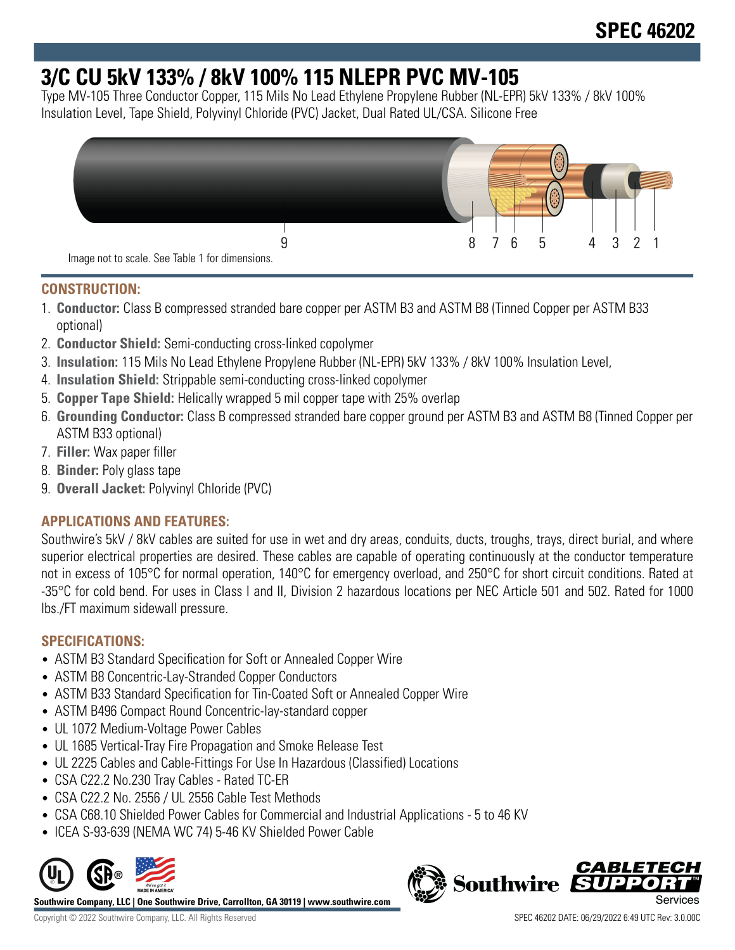# **3/C CU 5kV 133% / 8kV 100% 115 NLEPR PVC MV-105**

Type MV-105 Three Conductor Copper, 115 Mils No Lead Ethylene Propylene Rubber (NL-EPR) 5kV 133% / 8kV 100% Insulation Level, Tape Shield, Polyvinyl Chloride (PVC) Jacket, Dual Rated UL/CSA. Silicone Free



## **CONSTRUCTION:**

- 1. **Conductor:** Class B compressed stranded bare copper per ASTM B3 and ASTM B8 (Tinned Copper per ASTM B33 optional)
- 2. **Conductor Shield:** Semi-conducting cross-linked copolymer
- 3. **Insulation:** 115 Mils No Lead Ethylene Propylene Rubber (NL-EPR) 5kV 133% / 8kV 100% Insulation Level,
- 4. **Insulation Shield:** Strippable semi-conducting cross-linked copolymer
- 5. **Copper Tape Shield:** Helically wrapped 5 mil copper tape with 25% overlap
- 6. **Grounding Conductor:** Class B compressed stranded bare copper ground per ASTM B3 and ASTM B8 (Tinned Copper per ASTM B33 optional)
- 7. **Filler:** Wax paper filler
- 8. **Binder:** Poly glass tape
- 9. **Overall Jacket:** Polyvinyl Chloride (PVC)

# **APPLICATIONS AND FEATURES:**

Southwire's 5kV / 8kV cables are suited for use in wet and dry areas, conduits, ducts, troughs, trays, direct burial, and where superior electrical properties are desired. These cables are capable of operating continuously at the conductor temperature not in excess of 105°C for normal operation, 140°C for emergency overload, and 250°C for short circuit conditions. Rated at -35°C for cold bend. For uses in Class I and II, Division 2 hazardous locations per NEC Article 501 and 502. Rated for 1000 lbs./FT maximum sidewall pressure.

## **SPECIFICATIONS:**

- ASTM B3 Standard Specification for Soft or Annealed Copper Wire
- ASTM B8 Concentric-Lay-Stranded Copper Conductors
- ASTM B33 Standard Specification for Tin-Coated Soft or Annealed Copper Wire
- ASTM B496 Compact Round Concentric-lay-standard copper
- UL 1072 Medium-Voltage Power Cables
- UL 1685 Vertical-Tray Fire Propagation and Smoke Release Test
- UL 2225 Cables and Cable-Fittings For Use In Hazardous (Classified) Locations
- CSA C22.2 No.230 Tray Cables Rated TC-ER
- CSA C22.2 No. 2556 / UL 2556 Cable Test Methods
- CSA C68.10 Shielded Power Cables for Commercial and Industrial Applications 5 to 46 KV
- ICEA S-93-639 (NEMA WC 74) 5-46 KV Shielded Power Cable



**Southwire Company, LLC | One Southwire Drive, Carrollton, GA 30119 | www.southwire.com**

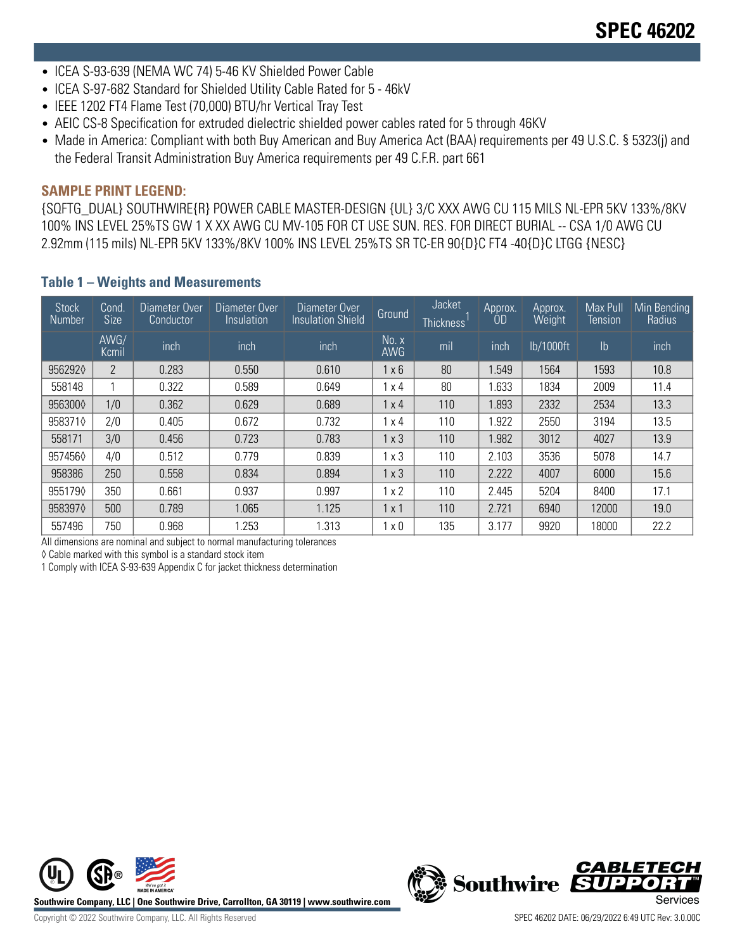- ICEA S-93-639 (NEMA WC 74) 5-46 KV Shielded Power Cable
- ICEA S-97-682 Standard for Shielded Utility Cable Rated for 5 46kV
- IEEE 1202 FT4 Flame Test (70,000) BTU/hr Vertical Tray Test
- AEIC CS-8 Specification for extruded dielectric shielded power cables rated for 5 through 46KV
- Made in America: Compliant with both Buy American and Buy America Act (BAA) requirements per 49 U.S.C. § 5323(j) and the Federal Transit Administration Buy America requirements per 49 C.F.R. part 661

#### **SAMPLE PRINT LEGEND:**

{SQFTG\_DUAL} SOUTHWIRE{R} POWER CABLE MASTER-DESIGN {UL} 3/C XXX AWG CU 115 MILS NL-EPR 5KV 133%/8KV 100% INS LEVEL 25%TS GW 1 X XX AWG CU MV-105 FOR CT USE SUN. RES. FOR DIRECT BURIAL -- CSA 1/0 AWG CU 2.92mm (115 mils) NL-EPR 5KV 133%/8KV 100% INS LEVEL 25%TS SR TC-ER 90{D}C FT4 -40{D}C LTGG {NESC}

| <b>Stock</b><br>Number | Cond.<br><b>Size</b> | Diameter Over<br>Conductor | Diameter Over<br>Insulation | Diameter Over<br><b>Insulation Shield</b>    | Ground       | Jacket<br>Thickness <sup>1</sup> | Approx.<br>0D | Approx.<br>Weight | Max Pull<br>Tension | Min Bending<br>Radius |
|------------------------|----------------------|----------------------------|-----------------------------|----------------------------------------------|--------------|----------------------------------|---------------|-------------------|---------------------|-----------------------|
|                        | AWG/<br>Kcmil        | inch                       | inch                        | inch                                         | No. x<br>AWG | mil                              | inch          | lb/1000ft         | $\mathsf{lb}$       | inch                  |
| 9562920                | $\overline{2}$       | 0.283                      | 0.550                       | $1 \times 6$<br>80<br>0.610<br>1.549<br>1564 |              |                                  | 1593          | 10.8              |                     |                       |
| 558148                 |                      | 0.322                      | 0.589                       | 0.649                                        | x 4          | 80                               | .633          | 1834              | 2009                | 11.4                  |
| 9563000                | 1/0                  | 0.362                      | 0.629                       | 0.689                                        | 1 x 4        | 110                              | 1.893         | 2332              | 2534                | 13.3                  |
| 9583710                | 2/0                  | 0.405                      | 0.672                       | 0.732                                        | x 4          | 110                              | .922          | 2550              | 3194                | 13.5                  |
| 558171                 | 3/0                  | 0.456                      | 0.723                       | 0.783                                        | 1x3          | 110                              | !982          | 3012              | 4027                | 13.9                  |
| 9574560                | 4/0                  | 0.512                      | 0.779                       | 0.839                                        | x 3          | 110                              | 2.103         | 3536              | 5078                | 14.7                  |
| 958386                 | 250                  | 0.558                      | 0.834                       | 0.894                                        | 1x3          | 110                              | 2.222         | 4007              | 6000                | 15.6                  |
| 9551790                | 350                  | 0.661                      | 0.937                       | 0.997                                        | x 2          | 110                              | 2.445         | 5204              | 8400                | 17.1                  |
| 9583970                | 500                  | 0.789                      | 1.065                       | 1.125                                        | 1 x 1        | 110                              | 2.721         | 6940              | 12000               | 19.0                  |
| 557496                 | 750                  | 0.968                      | .253                        | 1.313                                        | x 0          | 135                              | 3.177         | 9920              | 18000               | 22.2                  |

### **Table 1 – Weights and Measurements**

All dimensions are nominal and subject to normal manufacturing tolerances

◊ Cable marked with this symbol is a standard stock item

1 Comply with ICEA S-93-639 Appendix C for jacket thickness determination